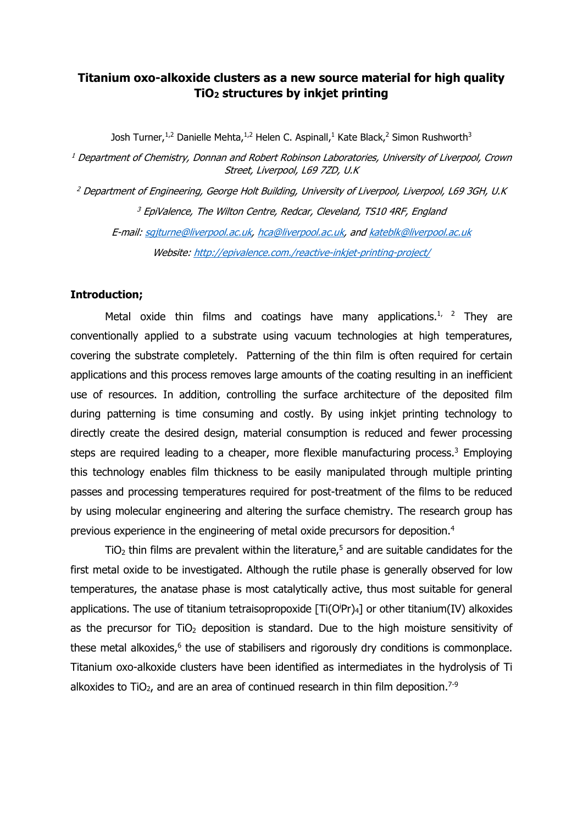## Titanium oxo-alkoxide clusters as a new source material for high quality TiO2 structures by inkjet printing

Josh Turner,<sup>1,2</sup> Danielle Mehta,<sup>1,2</sup> Helen C. Aspinall,<sup>1</sup> Kate Black,<sup>2</sup> Simon Rushworth<sup>3</sup>

 $1$  Department of Chemistry, Donnan and Robert Robinson Laboratories, University of Liverpool, Crown Street, Liverpool, L69 7ZD, U.K

<sup>2</sup> Department of Engineering, George Holt Building, University of Liverpool, Liverpool, L69 3GH, U.K <sup>3</sup> EpiValence, The Wilton Centre, Redcar, Cleveland, TS10 4RF, England E-mail: sgjturne@liverpool.ac.uk, hca@liverpool.ac.uk, and kateblk@liverpool.ac.uk Website: http://epivalence.com./reactive-inkjet-printing-project/

### Introduction;

Metal oxide thin films and coatings have many applications.<sup>1, 2</sup> They are conventionally applied to a substrate using vacuum technologies at high temperatures, covering the substrate completely. Patterning of the thin film is often required for certain applications and this process removes large amounts of the coating resulting in an inefficient use of resources. In addition, controlling the surface architecture of the deposited film during patterning is time consuming and costly. By using inkjet printing technology to directly create the desired design, material consumption is reduced and fewer processing steps are required leading to a cheaper, more flexible manufacturing process.<sup>3</sup> Employing this technology enables film thickness to be easily manipulated through multiple printing passes and processing temperatures required for post-treatment of the films to be reduced by using molecular engineering and altering the surface chemistry. The research group has previous experience in the engineering of metal oxide precursors for deposition.4

 $TiO<sub>2</sub>$  thin films are prevalent within the literature,<sup>5</sup> and are suitable candidates for the first metal oxide to be investigated. Although the rutile phase is generally observed for low temperatures, the anatase phase is most catalytically active, thus most suitable for general applications. The use of titanium tetraisopropoxide  $[Ti(O^jPr)_4]$  or other titanium(IV) alkoxides as the precursor for  $TiO<sub>2</sub>$  deposition is standard. Due to the high moisture sensitivity of these metal alkoxides, $6$  the use of stabilisers and rigorously dry conditions is commonplace. Titanium oxo-alkoxide clusters have been identified as intermediates in the hydrolysis of Ti alkoxides to  $TiO<sub>2</sub>$ , and are an area of continued research in thin film deposition.<sup>7-9</sup>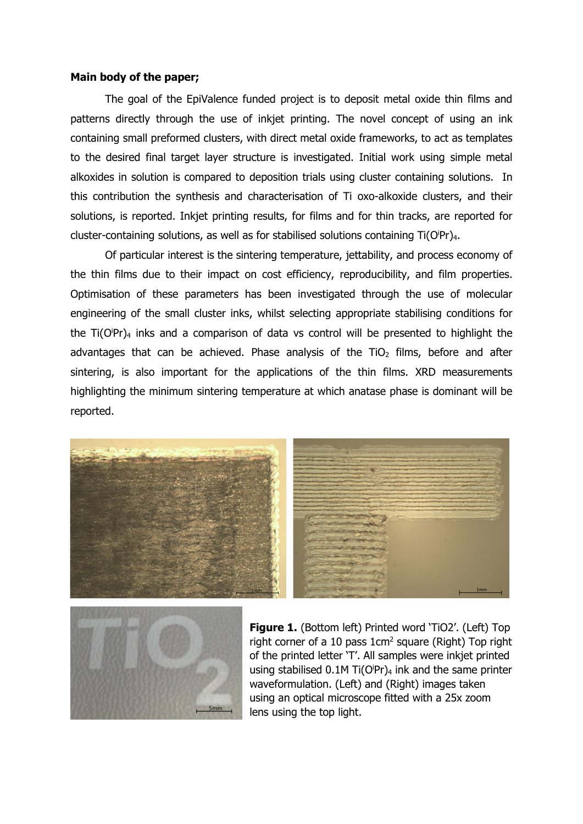#### Main body of the paper;

The goal of the EpiValence funded project is to deposit metal oxide thin films and patterns directly through the use of inkjet printing. The novel concept of using an ink containing small preformed clusters, with direct metal oxide frameworks, to act as templates to the desired final target layer structure is investigated. Initial work using simple metal alkoxides in solution is compared to deposition trials using cluster containing solutions. In this contribution the synthesis and characterisation of Ti oxo-alkoxide clusters, and their solutions, is reported. Inkjet printing results, for films and for thin tracks, are reported for cluster-containing solutions, as well as for stabilised solutions containing Ti(OPr)<sub>4</sub>.

Of particular interest is the sintering temperature, jettability, and process economy of the thin films due to their impact on cost efficiency, reproducibility, and film properties. Optimisation of these parameters has been investigated through the use of molecular engineering of the small cluster inks, whilst selecting appropriate stabilising conditions for the Ti(OPr)<sub>4</sub> inks and a comparison of data vs control will be presented to highlight the advantages that can be achieved. Phase analysis of the  $TiO<sub>2</sub>$  films, before and after sintering, is also important for the applications of the thin films. XRD measurements highlighting the minimum sintering temperature at which anatase phase is dominant will be reported.





Figure 1. (Bottom left) Printed word 'TiO2'. (Left) Top right corner of a 10 pass 1cm2 square (Right) Top right of the printed letter 'T'. All samples were inkjet printed using stabilised  $0.1$ M Ti(O<sup>i</sup>Pr)<sub>4</sub> ink and the same printer waveformulation. (Left) and (Right) images taken using an optical microscope fitted with a 25x zoom lens using the top light.